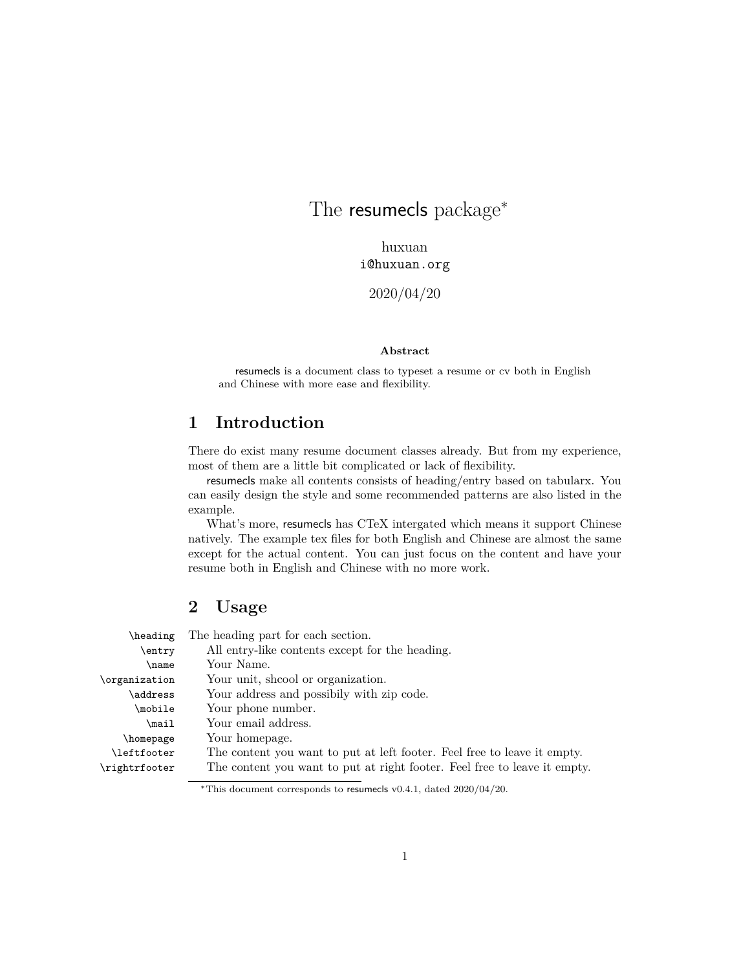# The resumecls package*<sup>∗</sup>*

huxuan i@huxuan.org

2020/04/20

### **Abstract**

resumecls is a document class to typeset a resume or cv both in English and Chinese with more ease and flexibility.

# **1 Introduction**

There do exist many resume document classes already. But from my experience, most of them are a little bit complicated or lack of flexibility.

resumecls make all contents consists of heading/entry based on tabularx. You can easily design the style and some recommended patterns are also listed in the example.

What's more, resumecls has CTeX intergated which means it support Chinese natively. The example tex files for both English and Chinese are almost the same except for the actual content. You can just focus on the content and have your resume both in English and Chinese with no more work.

# **2 Usage**

| \heading      | The heading part for each section.                                        |
|---------------|---------------------------------------------------------------------------|
| entry         | All entry-like contents except for the heading.                           |
| \name         | Your Name.                                                                |
| \organization | Your unit, shood or organization.                                         |
| \address      | Your address and possibily with zip code.                                 |
| \mobile       | Your phone number.                                                        |
| \mail         | Your email address.                                                       |
| \homepage     | Your homepage.                                                            |
| \leftfooter   | The content you want to put at left footer. Feel free to leave it empty.  |
| \rightrfooter | The content you want to put at right footer. Feel free to leave it empty. |
|               |                                                                           |

*<sup>∗</sup>*This document corresponds to resumecls v0.4.1, dated 2020/04/20.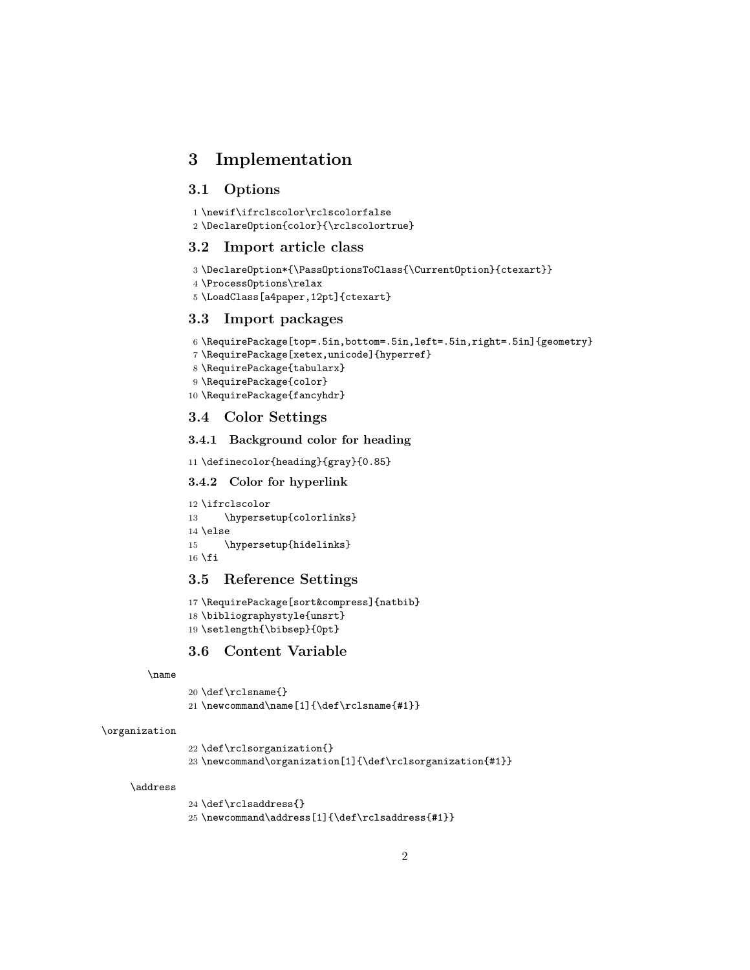# **3 Implementation**

## **3.1 Options**

```
1 \newif\ifrclscolor\rclscolorfalse
```
\DeclareOption{color}{\rclscolortrue}

## **3.2 Import article class**

```
3 \DeclareOption*{\PassOptionsToClass{\CurrentOption}{ctexart}}
```

```
4 \ProcessOptions\relax
```

```
5 \LoadClass[a4paper,12pt]{ctexart}
```
## **3.3 Import packages**

```
6 \RequirePackage[top=.5in,bottom=.5in,left=.5in,right=.5in]{geometry}
```

```
7 \RequirePackage[xetex,unicode]{hyperref}
```
- \RequirePackage{tabularx}
- \RequirePackage{color}
- \RequirePackage{fancyhdr}

## **3.4 Color Settings**

### **3.4.1 Background color for heading**

\definecolor{heading}{gray}{0.85}

### **3.4.2 Color for hyperlink**

```
12 \ifrclscolor
13 \hypersetup{colorlinks}
14 \else
15 \hypersetup{hidelinks}
16 \fi
```
# **3.5 Reference Settings**

```
17 \RequirePackage[sort&compress]{natbib}
18 \bibliographystyle{unsrt}
19 \setlength{\bibsep}{0pt}
```
# **3.6 Content Variable**

#### \name

```
20 \def\rclsname{}
21 \newcommand\name[1]{\def\rclsname{#1}}
```
#### \organization

```
22 \def\rclsorganization{}
23 \newcommand\organization[1]{\def\rclsorganization{#1}}
```
#### \address

 \def\rclsaddress{} \newcommand\address[1]{\def\rclsaddress{#1}}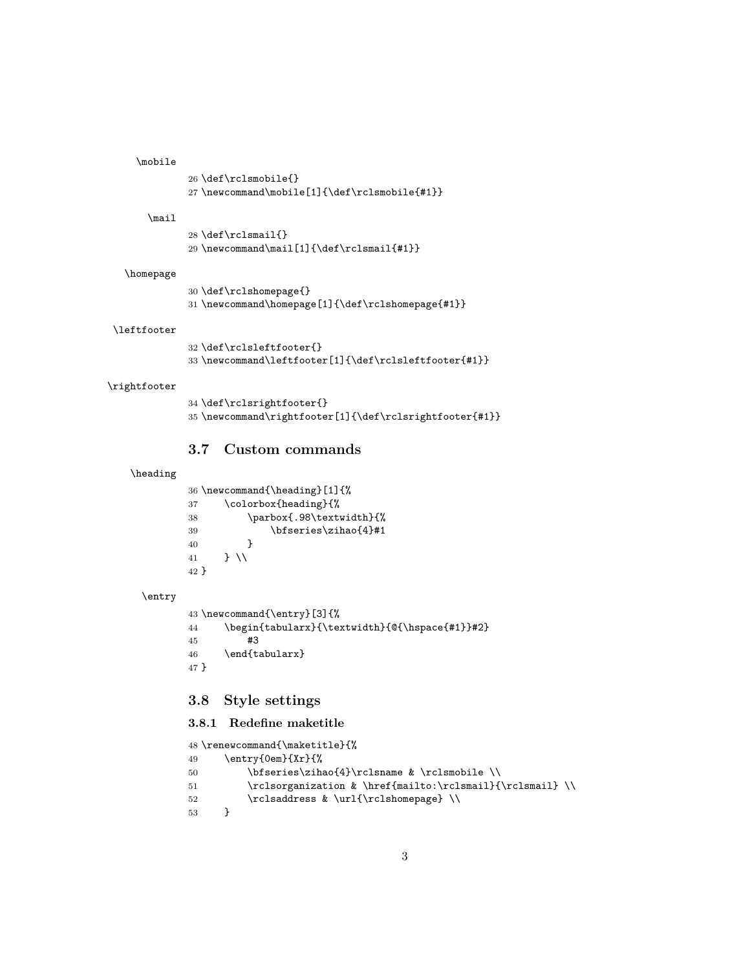#### \mobile

```
26 \def\rclsmobile{}
27 \newcommand\mobile[1]{\def\rclsmobile{#1}}
```
#### \mail

```
28 \def\rclsmail{}
29 \newcommand\mail[1]{\def\rclsmail{#1}}
```
#### \homepage

```
30 \def\rclshomepage{}
31 \newcommand\homepage[1]{\def\rclshomepage{#1}}
```
#### \leftfooter

```
32 \def\rclsleftfooter{}
33 \newcommand\leftfooter[1]{\def\rclsleftfooter{#1}}
```
#### \rightfooter

```
34 \def\rclsrightfooter{}
35 \newcommand\rightfooter[1]{\def\rclsrightfooter{#1}}
```
## **3.7 Custom commands**

#### \heading

|      | $36 \ne wcommand{\heading}[1] {\$ |
|------|-----------------------------------|
| 37   | \colorbox{heading}{%              |
| 38   | \parbox{.98\textwidth}{%          |
| 39   | \bfseries\zihao{4}#1              |
| 40   |                                   |
| 41   | $\overline{1}$                    |
| 42 } |                                   |
|      |                                   |
|      |                                   |

#### \entry

```
43 \newcommand{\entry}[3]{%
44 \begin{tabularx}{\textwidth}{@{\hspace{#1}}#2}
45 #3
46 \end{tabularx}
47 }
```
# **3.8 Style settings**

#### **3.8.1 Redefine maketitle**

```
48 \renewcommand{\maketitle}{%
49 \entry{0em}{Xr}{%
50 \bfseries\zihao{4}\rclsname & \rclsmobile \\
51 \rclsorganization & \href{mailto:\rclsmail}{\rclsmail} \\
52 \rclsaddress & \url{\rclshomepage} \\
53 }
```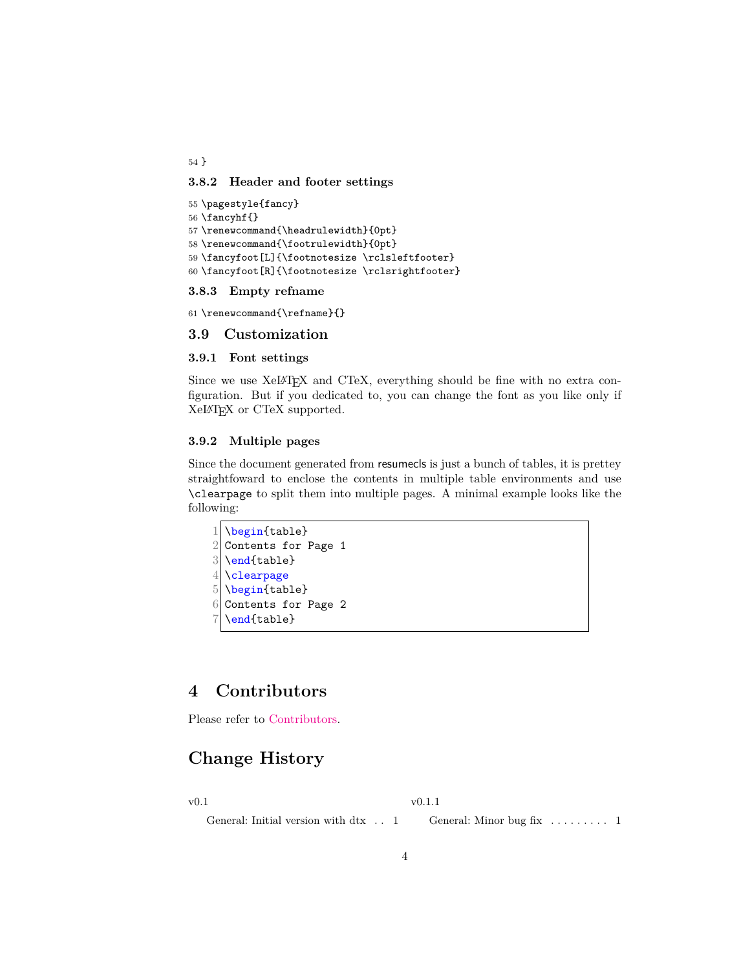54 }

## **3.8.2 Header and footer settings**

```
55 \pagestyle{fancy}
56 \fancyhf{}
57 \renewcommand{\headrulewidth}{0pt}
58 \renewcommand{\footrulewidth}{0pt}
59 \fancyfoot[L]{\footnotesize \rclsleftfooter}
60 \fancyfoot[R]{\footnotesize \rclsrightfooter}
```
### **3.8.3 Empty refname**

61 \renewcommand{\refname}{}

### **3.9 Customization**

### **3.9.1 Font settings**

Since we use XelAT<sub>EX</sub> and CTeX, everything should be fine with no extra configuration. But if you dedicated to, you can change the font as you like only if XeLATEX or CTeX supported.

### **3.9.2 Multiple pages**

Since the document generated from resumecls is just a bunch of tables, it is prettey straightfoward to enclose the contents in multiple table environments and use \clearpage to split them into multiple pages. A minimal example looks like the following:

```
1 \backslash \begin{bmatrix} \text{table} \end{bmatrix}2 Contents for Page 1
3 \end{table}
4 \clearpage
5 \begin{table}
6 Contents for Page 2
7 \end{table}
```
# **4 Contributors**

Please refer to [Contributors](https://github.com/huxuan/resumecls/graphs/contributors).

# **Change History**

v0.1

v0.1.1

General: Initial version with  $\mathrm{d}tx$   $\phantom{1}$  .  $\phantom{1}1$ 

General: Minor bug fix  $\dots \dots \dots 1$